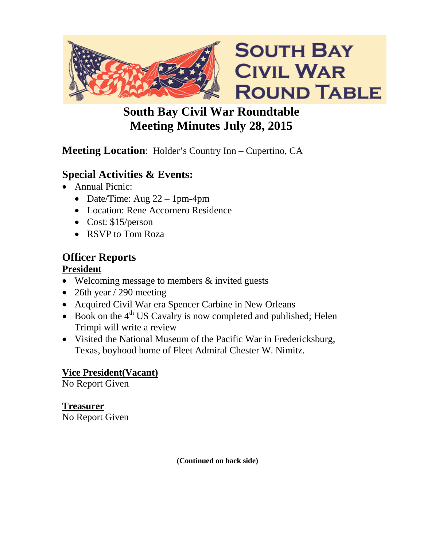

# **South Bay Civil War Roundtable Meeting Minutes July 28, 2015**

# **Meeting Location**: Holder's Country Inn – Cupertino, CA

# **Special Activities & Events:**

- Annual Picnic:
	- Date/Time: Aug  $22 1$ pm-4pm
	- Location: Rene Accornero Residence
	- Cost: \$15/person
	- RSVP to Tom Roza

# **Officer Reports**

#### **President**

- Welcoming message to members & invited guests
- 26th year  $/$  290 meeting
- Acquired Civil War era Spencer Carbine in New Orleans
- Book on the  $4<sup>th</sup>$  US Cavalry is now completed and published; Helen Trimpi will write a review
- Visited the National Museum of the Pacific War in Fredericksburg, Texas, boyhood home of Fleet Admiral Chester W. Nimitz.

### **Vice President(Vacant)**

No Report Given

**Treasurer** No Report Given

**(Continued on back side)**